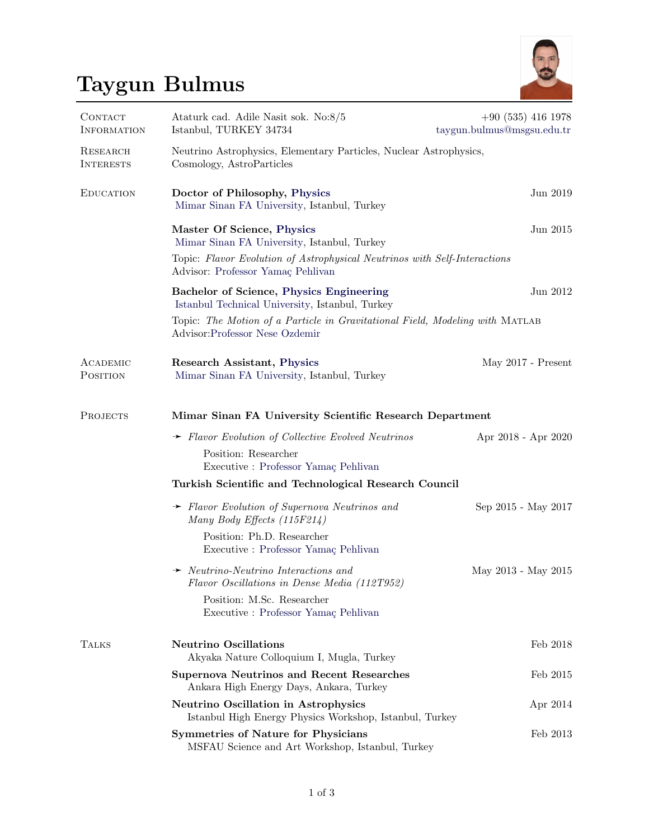## Taygun Bulmus



| CONTACT<br><b>INFORMATION</b> | Ataturk cad. Adile Nasit sok. No:8/5<br>Istanbul, TURKEY 34734                                                                 | $+90(535)4161978$<br>taygun.bulmus@msgsu.edu.tr |  |  |
|-------------------------------|--------------------------------------------------------------------------------------------------------------------------------|-------------------------------------------------|--|--|
| RESEARCH<br><b>INTERESTS</b>  | Neutrino Astrophysics, Elementary Particles, Nuclear Astrophysics,<br>Cosmology, AstroParticles                                |                                                 |  |  |
| <b>EDUCATION</b>              | Doctor of Philosophy, Physics<br>Mimar Sinan FA University, Istanbul, Turkey                                                   | Jun 2019                                        |  |  |
|                               | Master Of Science, Physics<br>Mimar Sinan FA University, Istanbul, Turkey                                                      | Jun 2015                                        |  |  |
|                               | Topic: Flavor Evolution of Astrophysical Neutrinos with Self-Interactions<br>Advisor: Professor Yamaç Pehlivan                 |                                                 |  |  |
|                               | Bachelor of Science, Physics Engineering<br>Istanbul Technical University, Istanbul, Turkey                                    | Jun 2012                                        |  |  |
|                               | Topic: The Motion of a Particle in Gravitational Field, Modeling with MATLAB<br>Advisor: Professor Nese Ozdemir                |                                                 |  |  |
| ACADEMIC<br>POSITION          | <b>Research Assistant, Physics</b><br>Mimar Sinan FA University, Istanbul, Turkey                                              | May $2017$ - Present                            |  |  |
| PROJECTS                      | Mimar Sinan FA University Scientific Research Department                                                                       |                                                 |  |  |
|                               | $\rightarrow$ Flavor Evolution of Collective Evolved Neutrinos<br>Position: Researcher<br>Executive : Professor Yamaç Pehlivan | Apr 2018 - Apr 2020                             |  |  |
|                               | Turkish Scientific and Technological Research Council                                                                          |                                                 |  |  |
|                               | $\rightarrow$ Flavor Evolution of Supernova Neutrinos and<br>Many Body Effects $(115F214)$                                     | Sep 2015 - May 2017                             |  |  |
|                               | Position: Ph.D. Researcher<br>Executive : Professor Yamaç Pehlivan                                                             |                                                 |  |  |
|                               | $\rightarrow$ Neutrino-Neutrino Interactions and<br>Flavor Oscillations in Dense Media (112T952)                               | May 2013 - May 2015                             |  |  |
|                               | Position: M.Sc. Researcher<br>Executive : Professor Yamaç Pehlivan                                                             |                                                 |  |  |
| <b>TALKS</b>                  | <b>Neutrino Oscillations</b><br>Akyaka Nature Colloquium I, Mugla, Turkey                                                      | Feb 2018                                        |  |  |
|                               | <b>Supernova Neutrinos and Recent Researches</b><br>Ankara High Energy Days, Ankara, Turkey                                    | Feb 2015                                        |  |  |
|                               | <b>Neutrino Oscillation in Astrophysics</b><br>Istanbul High Energy Physics Workshop, Istanbul, Turkey                         | Apr 2014                                        |  |  |
|                               | <b>Symmetries of Nature for Physicians</b><br>MSFAU Science and Art Workshop, Istanbul, Turkey                                 | Feb 2013                                        |  |  |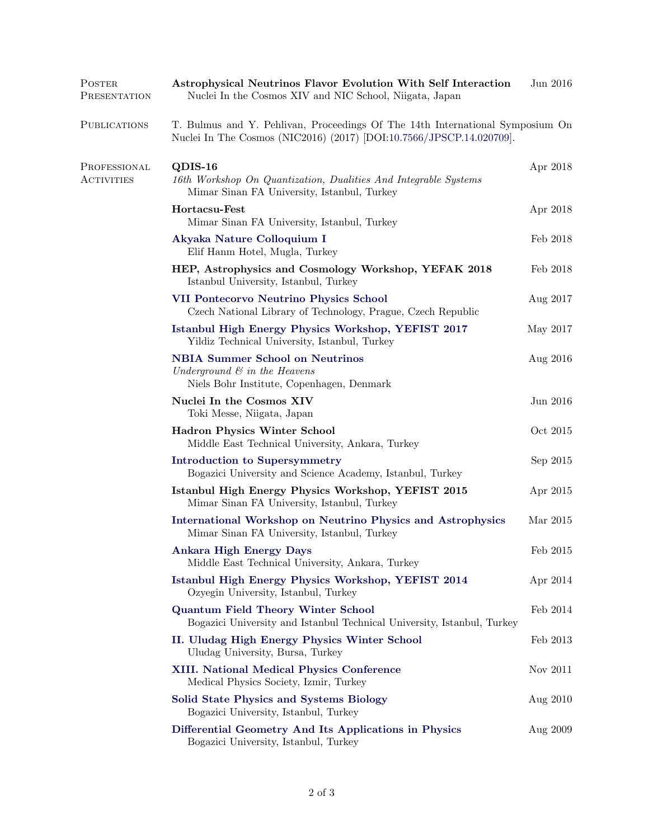| POSTER<br>PRESENTATION            | <b>Astrophysical Neutrinos Flavor Evolution With Self Interaction</b><br>Nuclei In the Cosmos XIV and NIC School, Niigata, Japan                      |          |  |
|-----------------------------------|-------------------------------------------------------------------------------------------------------------------------------------------------------|----------|--|
| <b>PUBLICATIONS</b>               | T. Bulmus and Y. Pehlivan, Proceedings Of The 14th International Symposium On<br>Nuclei In The Cosmos (NIC2016) (2017) [DOI:10.7566/JPSCP.14.020709]. |          |  |
| PROFESSIONAL<br><b>ACTIVITIES</b> | QDIS-16<br>16th Workshop On Quantization, Dualities And Integrable Systems<br>Mimar Sinan FA University, Istanbul, Turkey                             | Apr 2018 |  |
|                                   | Hortacsu-Fest<br>Mimar Sinan FA University, Istanbul, Turkey                                                                                          | Apr 2018 |  |
|                                   | Akyaka Nature Colloquium I<br>Elif Hanm Hotel, Mugla, Turkey                                                                                          | Feb 2018 |  |
|                                   | HEP, Astrophysics and Cosmology Workshop, YEFAK 2018<br>Istanbul University, Istanbul, Turkey                                                         | Feb 2018 |  |
|                                   | <b>VII Pontecorvo Neutrino Physics School</b><br>Czech National Library of Technology, Prague, Czech Republic                                         | Aug 2017 |  |
|                                   | Istanbul High Energy Physics Workshop, YEFIST 2017<br>Yildiz Technical University, Istanbul, Turkey                                                   | May 2017 |  |
|                                   | <b>NBIA Summer School on Neutrinos</b><br>Underground $\mathcal{C}$ in the Heavens<br>Niels Bohr Institute, Copenhagen, Denmark                       | Aug 2016 |  |
|                                   | Nuclei In the Cosmos XIV<br>Toki Messe, Niigata, Japan                                                                                                | Jun 2016 |  |
|                                   | <b>Hadron Physics Winter School</b><br>Middle East Technical University, Ankara, Turkey                                                               | Oct 2015 |  |
|                                   | <b>Introduction to Supersymmetry</b><br>Bogazici University and Science Academy, Istanbul, Turkey                                                     | Sep 2015 |  |
|                                   | Istanbul High Energy Physics Workshop, YEFIST 2015<br>Mimar Sinan FA University, Istanbul, Turkey                                                     | Apr 2015 |  |
|                                   | <b>International Workshop on Neutrino Physics and Astrophysics</b><br>Mimar Sinan FA University, Istanbul, Turkey                                     | Mar 2015 |  |
|                                   | <b>Ankara High Energy Days</b><br>Middle East Technical University, Ankara, Turkey                                                                    | Feb 2015 |  |
|                                   | Istanbul High Energy Physics Workshop, YEFIST 2014<br>Ozyegin University, Istanbul, Turkey                                                            | Apr 2014 |  |
|                                   | <b>Quantum Field Theory Winter School</b><br>Bogazici University and Istanbul Technical University, Istanbul, Turkey                                  | Feb 2014 |  |
|                                   | II. Uludag High Energy Physics Winter School<br>Uludag University, Bursa, Turkey                                                                      | Feb 2013 |  |
|                                   | <b>XIII.</b> National Medical Physics Conference<br>Medical Physics Society, Izmir, Turkey                                                            | Nov 2011 |  |
|                                   | <b>Solid State Physics and Systems Biology</b><br>Bogazici University, Istanbul, Turkey                                                               | Aug 2010 |  |
|                                   | Differential Geometry And Its Applications in Physics<br>Bogazici University, Istanbul, Turkey                                                        | Aug 2009 |  |